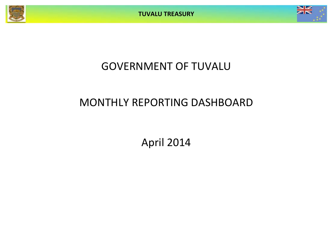



# GOVERNMENT OF TUVALU

# MONTHLY REPORTING DASHBOARD

April 2014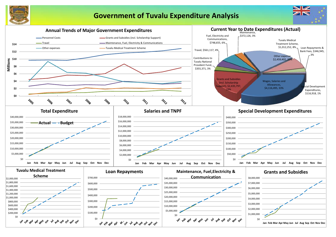

## **Government of Tuvalu Expenditure Analysis**

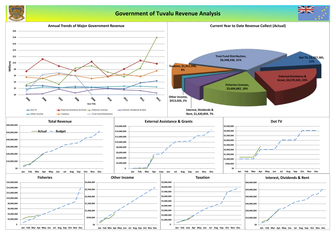

## **Government of Tuvalu Revenue Analysis**



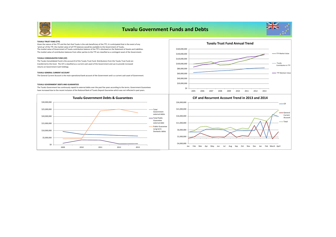

## **Tuvalu Government Funds and Debts**



#### **TUVALU TRUST FUND (TTF)**

'wind up' of the TTF. the market value of all TTF balances would be available to the Government of Tuvalu.<br>The market value of Government of Tuvalu contribution balance of the TTF is disclosed on the Statement of Assets an The market value of contribution balances from other parties to the TTF are classified as a contingent asset of the Government. Given the nature of the TTF and the fact that Tuvalu is the sole beneficiary of the TTF, it is anticipated that in the event of any

#### **TUVALU CONSOLIDATED FUND (CIF)**

The Tuvalu Consolidated Fund is the account B of the Tuvalu Trust Fund. Distributions from the Tuvalu Trust Fund are transferred to this fund. The CIF is classified as a current cash asset of the Government and use to provide increased returns on Government Cash holdings.

#### **TUVALU GENERAL CURRENT ACCOUNT**

The General Current Account is the main operational bank account of the Government and is a current cash asset of Government.

#### **TUVALU GOVERNMENT DEBTS AND GUARANTEES**

The Tuvalu Government has continously repaid its external debts over the past five years according to the terms. Government Guarantees have increased due to the recent inclusion of the National Bank of Tuvalu Deposit Gaurantee which was not reflected in past years.







#### **CIF and Recurrent Account Trend in 2013 and 2014**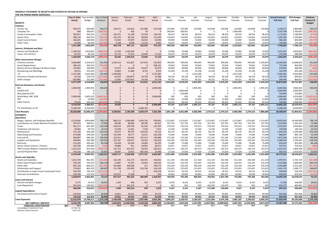#### **MONTHLY STATEMENT OF RECEIPTS AND PAYENTS BY NATURE OF EXPENSE FOR THE PERIOD**

| 2014 אינטא (איט סטאט די סטוחם של ה                       | <b>Year to Date</b> |              | Year to Date |                   |                     | March             |                   |                     | June              | July              |                     |                     |                   |                   |                   | Actual+Forecast  | 2014 Budget      | Variance      |
|----------------------------------------------------------|---------------------|--------------|--------------|-------------------|---------------------|-------------------|-------------------|---------------------|-------------------|-------------------|---------------------|---------------------|-------------------|-------------------|-------------------|------------------|------------------|---------------|
|                                                          |                     | Year to Date |              | January           | February            |                   | April             | May                 |                   |                   | August              | September           | October           | November          | December          |                  |                  |               |
| <b>RECEIPTS</b>                                          | Actual              | Budget       | Variance     | Actual            | Actual              | Actual            | Actual            | Forecast            | Forecast          | Forecast          | Forecast            | Forecast            | Forecast          | Forecast          | Forecast          | <b>Full Year</b> | <b>Full Year</b> | Forecast &    |
| <b>Taxation</b>                                          |                     |              |              |                   |                     |                   |                   |                     |                   |                   |                     |                     |                   |                   |                   |                  |                  | <b>Budget</b> |
| Income Tax                                               | 958,275             | 600,000      | 358,275      | 158,373           | 134,814             | 141,980           | 523,108           | 150,000             | 150,000           | 150,000           | 150,000             | 150,000             | 150,000           | 150,000           | 150,000           | 2,158,275        | 1,800,000        | 358,275       |
| Company Tax                                              | 464                 | 266.667      | (266.203     | $\Omega$          | 405                 | 59                |                   | 266.667             | 266.667           | $\Omega$          | $\Omega$            | $\Omega$            | 1.900.000         | $\Omega$          |                   | 2.433.798        | 2.700.001        | (266, 203)    |
| <b>Tuvalu Consumption Taxes</b>                          | 385,957             | 393,333      | (7, 376)     | 143,375           | 51,189              | 65,250            | 126,143           | 98,333              | 98,333            | 98,333            | 98,333              | 98,333              | 98,333            | 98,333            | 98,333            | 1,172,624        | 1,180,000        | (7, 376)      |
| <b>Import Duty</b>                                       | 368,116             | 443,333      | (75, 218)    | 101,370           | 66,144              | 89,509            | 111,093           | 110,833             | 110,833           | 110,833           | 110,833             | 110,833             | 110,833           | 110,833           | 110,833           | 1,254,782        | 1,330,000        | (75, 218)     |
| Import Levy & Excise                                     | 166,281             | 200,000      | (33, 719)    | 55,403            | 47,870              | 36,013            | 26,994            | 50,000              | 50,000            | 50,000            | 50,000              | 50,000              | 50,000            | 50,000            | 50,000            | 566,281          | 600,000          | (33, 719)     |
| Other Taxes                                              | 32.904              | 58,700       | (25.79)      | 5.198             | 6,690               | 11.124            | 9.892             | 14,675              | 14.675            | 14.675            | 14,675              | 14.675              | 14.675            | 14.675            | 14.675            | 150,304          | 176.100          | (25.796)      |
|                                                          |                     | 1,962,034    | (50,03)      | 463,718           | 307,112             |                   | 797,232           |                     | 690,509           | 423,842           |                     | 423,842             | 2,323,842         | 423,842           | 423,842           |                  |                  | (50,038)      |
| <b>Interest. Dividends and Rent</b>                      | 1,911,996           |              |              |                   |                     | 343,935           |                   | 690,509             |                   |                   | 423,842             |                     |                   |                   |                   | 7,736,063        | 7,786,101        |               |
|                                                          |                     | 1,923,862    | (584,555     | 12,743            |                     | $\Omega$          |                   | 10,000              | 10,000            | 10,000            |                     | 10,000              | 10,000            |                   | 10,000            | 1,419,307        | 2,003,862        |               |
| <b>Interest and Dividends</b>                            | 1,339,307           |              |              |                   | 1,326,564           |                   |                   |                     |                   |                   | 10,000              |                     |                   | 10,000            |                   |                  |                  | (584, 555     |
| Lease, rent and hire                                     | 81.552              | 96.316       | (14.764)     | 22.722            | 17.972              | 23.649            | 17,210            | 24.079              | 24.079            | 24.079            | 24.079              | 24.079              | 24.079            | 24.079            | 24.079            | 274.184          | 288.948          | (14.764)      |
|                                                          | 1,420,859           | 2,020,178    | (599,319     | 35,465            | 1,344,535           | 23,649            | 17,210            | 34,079              | 34,079            | 34,079            | 34,079              | 34,079              | 34,079            | 34,079            | 34,079            | 1,693,491        | 2,292,810        | (599,319      |
| <b>Other Government Charges</b>                          |                     |              |              |                   |                     |                   |                   |                     |                   |                   |                     |                     |                   |                   |                   |                  |                  |               |
| <b>Fisheries Licenses</b>                                | 3,606,882           | 3,254,919    | 351,963      | 2,294,153         | 612,857             | 147,019           | 552,853           | 784,695             | 784,695           | 784,695           | 784,695             | 784,695             | 784,695           | 784,695           | 5,100,833         | 14,200,583       | 13,848,620       | 351,963       |
| <b>Vessel Registrations</b>                              | 208,101             | 283,333      | (75, 232)    | $\Omega$          | $\Omega$            | $\Omega$          | 208,101           | 70,833              | 70,833            | 70,833            | 70,833              | 70,833              | 70,833            | 70,833            | 70,833            | 774,768          | 850,000          | (75, 232)     |
| Marine Services (Nivaga II & Manu Folau)                 | 159,892             | 160,000      | (108)        | 57,072            | 42,349              | 24,597            | 35,873            | 40,000              | 40,000            | 40,000            | 40,000              | 40,000              | 40,000            | 40,000            | 40,000            | 479,892          | 480,000          | (108)         |
| Stevedoring and Wharfage                                 | 40,911              | 101,033      | (60, 122)    | 10,803            | 11,800              | 8,755             | 9,553             | 25,258              | 25,258            | 25,258            | 25,258              | 25,258              | 25,258            | 25,258            | 25,258            | 242,978          | 303,100          | (60, 122)     |
| TV                                                       | 2.357.385           | 2,025,000    | 332.385      | 1.199.898         | $\Omega$            | $\Omega$          | 1,157,487         | $\Omega$            | $\Omega$          | 1.012.500         | $\Omega$            | $\Omega$            | 1.012.500         | $\Omega$          |                   | 4,382,385        | 4.050.000        | 332,385       |
| Provision of Goods and Services                          | 62,220              | 233,270      | (171,05)     | 42,563            | (30,097)            | 16,758            | 32,996            | 58,318              | 58,318            | 58,318            | 58,318              | 58,318              | 58,318            | 58,318            | 58,318            | 528,760          | 699,810          | (171,050)     |
| Other Charges                                            | (58.098             | 161.284      | (219.38)     | 15,065            | (103.967)           | 16.526            | 14.278            | 40.321              | 40.321            | 40.321            | 40.321              | 40.321              | 40.321            | 40.321            | 40.32             | 264,469          | 483.851          | (219.38)      |
|                                                          | 6,377,293           | 6,218,840    | 158,453      | 3,619,554         | 532,942             | 213,655           | 2,011,142         | 1,019,425           | 1,019,425         | 2,031,925         | 1,019,425           | 1,019,425           | 2,031,925         | 1,019,425         | 5,335,563         | 20,873,834       | 20,715,381       | 158,453       |
| <b>External Assistance and Grants</b>                    |                     |              |              |                   |                     |                   |                   |                     |                   |                   |                     |                     |                   |                   |                   |                  |                  |               |
| ROC                                                      | 2,500,000           | 1,995,955    | 504,045      | $\Omega$          | $\Omega$            | $\Omega$          | 2,500,000         | $\overline{0}$      | $\mathbf 0$       | 1,995,955         | $\Omega$            | $\Omega$            | 1,995,955         | 0                 | 1,995,955         | 8,487,864        | 7,983,819        | 504,045       |
| AusAID (CIF)                                             | $\Omega$            |              |              | $\Omega$          | $\cap$              | $\Omega$          |                   | $\Omega$            | 2.000.000         | $\Omega$          | $\Omega$            | $\Omega$            | $\Omega$          | $\Omega$          |                   | 2.000.000        | 2,000,000        |               |
| New Zealand (CIF)                                        | $\Omega$            |              |              | $\Omega$          | $\Omega$            | $\Omega$          |                   | - 0                 | 520,800           | $\Omega$          | $\Omega$            | $\mathbf 0$         | $\mathbf{0}$      | $\Omega$          |                   | 520,800          | 520,800          |               |
| World Bank, IMF, ADB                                     | 2,000,000           | 3,003,333    | (1.003.333   | $\Omega$          |                     | $\Omega$          | 2,000,000         | 833                 | 833               | 833               | 833                 | 833                 | 833               | 833               | 833               | 2,006,667        | 3,010,000        | (1,003,333)   |
| PDF                                                      | $\Omega$            | 52,000       | (52.000)     | $\Omega$          | $\Omega$            | $\Omega$          | $\Omega$          | 13,000              | 13,000            | 13,000            | 13,000              | 13.000              | 13,000            | 13,000            | 13,000            | 104,000          | 156,000          | (52,000)      |
| Other Donors                                             | 70,325              | 333,333      | (263,009     | 70,325            | $\Omega$            | $\Omega$          |                   | 83,333              | 83,333            | 83,333            | 83,333              | 83,333              | 83,333            | 83,333            | 83,333            | 736,991          | 1,000,000        | (263,009      |
|                                                          | 4,570,325           | 5,384,621    | (814, 29)    | 70,325            | $\mathbf{0}$        | $\Omega$          | 4,500,000         | 97,167              | 2,617,967         | 2,093,121         | 97,167              | 97,167              | 2,093,121         | 97,167            | 2,093,121         | 13,856,322       | 14,670,619       | (814, 29)     |
| TTF Distribution to CIF                                  | 6,348,336           | 6,500,000    | (151, 66)    | $\Omega$          | $\Omega$            | 6.348.336         |                   | $\Omega$            | $\Omega$          | $\Omega$          | $\Omega$            | $\Omega$            | $\Omega$          | $\Omega$          |                   | 6,348,336        | 6,500,000        | (151, 664)    |
| <b>Total Receipts</b>                                    | 20,628,808          | 22,085,673   | 1.456.8      | 4,189,061         | 2,184,589           | 6,929,574         | 7,325,584         | 1,841,180           | 4,361,980         | 4,582,968         | 1,574,513           | 1,574,513           | 6,482,968         | 1,574,513         | 7,886,606         | 50,508,047       | 51,964,911       | (1.456.86)    |
|                                                          |                     |              |              |                   |                     |                   |                   |                     |                   |                   |                     |                     |                   |                   |                   |                  |                  |               |
| <b>PAYMENTS</b>                                          |                     |              |              |                   |                     |                   |                   |                     |                   |                   |                     |                     |                   |                   |                   |                  |                  |               |
| <b>Operations</b>                                        |                     |              |              |                   |                     |                   |                   |                     |                   |                   |                     |                     |                   |                   |                   |                  |                  |               |
| Wages, Salaries, and Employee Benefits                   | 4,116,495           | 4,854,669    | 738,174      | 980,212           | 1,094,486           | 1,063,156         | 978,641           | 1,213,667           | 1,213,667         | 1,213,667         | 1,213,667           | 1,213,667           | 1,213,667         | 1,213,667         | 1,213,667         | 13,825,833       | 14,564,006       | 738,17        |
| Contributions to Tuvalu National Provident Fund          | 355,371             | 430,811      | 75,440       | 96,046            | 88,082              | 88,786            | 82,457            | 107,703             | 107,703           | 107,703           | 107,703             | 107.703             | 107,703           | 107,703           | 107,703           | 1,216,993        | 1,292,433        | 75,440        |
| Travel                                                   | 561,117             | 681,285      | 120,168      | 218,529           | 109,746             | 81,546            | 151,297           | 170,323             | 170,323           | 170,323           | 170,323             | 170,323             | 170,323           | 170,323           | 170,323           | 1,923,697        | 2,043,865        | 120,16        |
| Telephone and Internet                                   | 39,566              | 49.720       | 10.153       | 12,939            | 11.812              | 7,259             | 7,557             | 12,430              | 12.430            | 12.430            | 12.430              | 12.430              | 12.430            | 12,430            | 12,430            | 139,006          | 149,159          | 10,153        |
| Maintenance                                              | 372,126             | 626,290      | 254,164      | 55,672            | 98,707              | 126,526           | 91,222            | 84,135              | 84,135            | 84,135            | 84,135              | 84,135              | 84,135            | 84,135            | 84,135            | 1,045,204        | 1,299,368        | 254,164       |
| Advertising and Provisions                               | 279,480             | 294,583      | 15,104       | 141,934           | 18,777              | 16,531            | 102,238           | 73,646              | 73,646            | 73,646            | 73,646              | 73,646              | 73,646            | 73,646            | 73,646            | 868,647          | 883,750          | 15,104        |
| Fuel and Oil                                             | 494,897             | 689,181      | 194,284      | 123,451           | 118,942             | 107,517           | 144,986           | 172,295             | 172,295           | 172,295           | 172,295             | 172,295             | 172,295           | 172,295           | 172,295           | 1,873,258        | 2,067,542        | 194,284       |
| Supplies and Equipment                                   | 440,865             | 569,780      | 128,916      | 107,187           | 130,417             | 60,243            | 143,018           | 142,445             | 142,445           | 142,445           | 142,445             | 142,445             | 142,445           | 142,445           | 142,445           | 1,580,426        | 1,709,341        | 128,916       |
| Electricity                                              | 214,192             | 300,361      | 86,168       | 65,428            | 63,330              | 29,082            | 56,353            | 75,090              | 75,090            | 75,090            | 75,090              | 75,090              | 75,090            | 75,090            | 75,090            | 814,914          | 901,082          | 86,168        |
| Senior Citizen Scheme / Pension                          | 103,783             | 103.484      | (299)        | 50.880            | 811                 | 26,081            | 26,011            | 25.871              | 25,871            | 25.871            | 25,871              | 25.871              | 25.871            | 25,871            | 25,871            | 310,751          | 310.452          | (299          |
| TMTS (Tuvalu Medical Treatment Scheme)                   | 1,012,252           | 601,500      | (410, 752)   | 213,752           | 451,437             | 83,452            | 263,612           | 150,375             | 150,375           | 150,375           | 150,375             | 150,375             | 150,375           | 150,375           | 150,375           | 2,215,252        | 1,804,500        | (410, 752)    |
| Land & Property Rent                                     | 743,116             | 798.118      | 55,001       | 26,687            | 13.915              | 687.018           | 15,496            | 27.029              | 27.029            | 27.029            | 27,029              | 27.029              | 27.029            | 27.029            | 27.029            | 959,352          | 1,014,353        | 55,001        |
|                                                          | 8,733,260           | 9,999,781    | 1,266,521    | 2,092,717         | 2,200,460           | 2,377,197         | 2,062,887         | 2,255,009           | 2,255,009         | 2,255,009         | 2,255,009           | 2,255,009           | 2,255,009         | 2,255,009         | 2,255,009         | 26,773,331       | 28,039,852       | 1,266,521     |
| <b>Grants and Subsidies</b>                              |                     |              |              |                   |                     |                   |                   |                     |                   |                   |                     |                     |                   |                   |                   |                  |                  |               |
| <b>Grants and Subsidies</b>                              | 1,013,739           | 961,491      | (52, 248)    | 126,190           | 222,173             | 130,555           | 534,821           | 211,310             | 242,560           | 211,310           | 211,310             | 242,560             | 211,310           | 242,560           | 211,310           | 2,797,971        | 2,745,724        | (52, 248)     |
| Outer Island Projects (SDE)                              | 249,199             | 533,333      | 284,134      | 12,887            | 47,247              | 42,563            | 146,502           | 133,333             | 133,333           | 133,333           | 133,333             | 133,333             | 133,333           | 133,333           | 133,333           | 1,315,866        | 1,600,000        | 284,134       |
| Other SDEs                                               | 892,158             | 800,415      | (91, 743)    | 263,866           | 428,568             | 151               | 199,573           | 150,104             | 150,104           | 350,104           | 150,104             | 150,104             | 150,104           | 150,104           | 150,104           | 2,292,989        | 2,201,246        | (91, 743)     |
| Scholarships and Support                                 | 714,652             | 863,259      | 148,607      | 111,788           | 226,995             | 232,740           | 143,130           | 215,815             | 215,815           | 215,815           | 215,815             | 215,815             | 215,815           | 215,815           | 215,815           | 2,441,170        | 2,589,777        | 148,607       |
| Contribution to Japan Grant Counterpart Fund             | 318,378             | 106,126      | (212.252)    | $\Omega$          | $\Omega$            | $\Omega$          | 318,378           | 26,532              | 26,532            | 26.532            | 26,532              | 26,532              | 26.532            | 26,532            | 26,532            | 530.630          | 318.378          | (212.252)     |
| <b>Overseas Contributions</b>                            | 140,748             | 137,376      | (3.372)      | 122,827           | 17,268              | $\Omega$          | 653               | 26,963              | 26,963            | 26,963            | 26,963              | 285,437             | 38,963            | 26,963            | 26,963            | 626,923          | 623,551          | (3.37)        |
|                                                          | 3,328,874           | 3,402,001    | 73,127       | 637,557           | 942,252             | 406,009           | 1,343,057         | 764,056             | 795,306           | 964,056           | 764,056             | 1,053,780           | 776,056           | 795,306           | 764,056           | 10,005,549       | 10,078,676       | 73,127        |
| Loans and Interest                                       |                     |              |              |                   |                     |                   |                   |                     |                   |                   |                     |                     |                   |                   |                   |                  |                  |               |
| Interest and Bank Charges                                | 4,772               | 33,333       | 28,561       | 1,344             | 956                 | 559               | 1,913             | 8,333               | 8,333             | 8,333             | 8,333               | 8,333               | 8,333             | 8,333             | 8,333             | 71,438           | 100,000          | 28,561        |
| Loan Repayment                                           | 341,254             | 199.281      | (141.97)     |                   | 341,254             | $\Omega$          |                   | 833                 | 833               | 833               | 163,250             | 116,070             | 833               | 833               | 833               | 625,575          | 483.602          | (141.97)      |
|                                                          | 346,026             | 232,615      | (113.411)    | 1.344             | 342,210             | 559               | 1,913             | 9,167               | 9,167             | 9,167             | 171,584             | 124.404             | 9,167             | 9,167             | 9,167             | 697,013          | 583,602          | (113, 411)    |
| <b>Capital Expenditures</b>                              |                     |              |              |                   |                     |                   |                   |                     |                   |                   |                     |                     |                   |                   |                   |                  |                  |               |
| Purchase/construction of assets                          | 116,918             | 163,819      | 46,902       | 14,821            | 44 931              | 3,641             | 53,524            | 40,955              | 40,955            | 40.955            | 40,955              | 40,955              | 40,955            | 40,955            | 40,955            | 444,556          | 491,458          | 46,902        |
|                                                          | 116.918             | 163.819      | 46.902       | 14.821            | 44.931              | 3.641             | 53.524            | 40.955              | 40.955            | 40.955            | 40.955              | 40.955              | 40.955            | 40.955            | 40.955            | 444.556          | 491.458          | 46.902        |
| <b>Total Payments</b>                                    | 12,525,078          | 13,798,217   | 1,273,139    | 2,746,438         | 3,529,853           | 2,787,406         | 3,461,381         | 3,069,187           | 3,100,437         | 3,269,187         | 3,231,604           | 3,474,148           | 3,081,187         | 3,100,437         | 3,069,187         | 37,920,449       | 39,193,588       | 1,273,139     |
|                                                          |                     |              |              |                   |                     |                   |                   |                     |                   |                   |                     |                     |                   |                   |                   |                  |                  |               |
| NET SURPLUS / (DEFICIT)<br><b>FORECAST CASH POSITION</b> | 8.103.730<br>20.4   | 8.287.456    | 183.726      | 1,442,623<br>24.6 | (1.345.264)<br>23.2 | 4.142.168<br>24.5 | 3.864.203<br>20.4 | (1.228.007)<br>19.1 | 1.261.543<br>20.4 | 1.313.781<br>21.7 | (1.657.091)<br>20.1 | (1.899.635)<br>18.2 | 3.401.781<br>21.6 | 1.525.924<br>20.0 | 4.817.419<br>24.9 | 12.587.598       | 12,771,324       | (183.726      |
| \$M<br>Consolidated Investment Fund                      | 15,768,762          |              |              |                   |                     |                   |                   |                     |                   |                   |                     |                     |                   |                   |                   |                  |                  |               |
|                                                          |                     |              |              |                   |                     |                   |                   |                     |                   |                   |                     |                     |                   |                   |                   |                  |                  |               |

General Current Account 4,607,337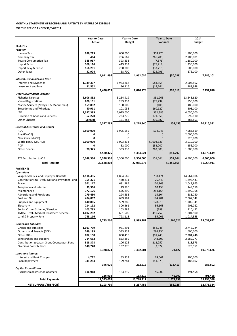### **MONTHLY STATEMENT OF RECEIPTS AND PAYENTS BY NATURE OF EXPENSE**

**FOR THE PERIOD ENDED 30/04/2014**

|                                                 | <b>Year to Date</b> |            |                     |            |                     |               |               |            |  |
|-------------------------------------------------|---------------------|------------|---------------------|------------|---------------------|---------------|---------------|------------|--|
|                                                 |                     |            | <b>Year to Date</b> |            | <b>Year to Date</b> |               | 2014          |            |  |
|                                                 | Actual              |            | Budget              |            | Variance            |               | <b>Budget</b> |            |  |
| <b>RECEIPTS</b>                                 |                     |            |                     |            |                     |               |               |            |  |
| <b>Taxation</b>                                 |                     |            |                     |            |                     |               |               |            |  |
| Income Tax                                      | 958,275             |            | 600,000             |            | 358,275             |               | 1,800,000     |            |  |
| Company Tax                                     | 464                 |            | 266,667             |            | (266, 203)          |               | 2,700,001     |            |  |
|                                                 |                     |            | 393,333             |            |                     |               |               |            |  |
| <b>Tuvalu Consumption Tax</b>                   | 385,957             |            |                     |            | (7, 376)            |               | 1,180,000     |            |  |
| Import Duty                                     | 368,116             |            | 443,333             |            | (75, 218)           |               | 1,330,000     |            |  |
| Import Levy & Excise                            | 166,281             |            | 200,000             |            | (33, 719)           |               | 600,000       |            |  |
| <b>Other Taxes</b>                              | 32,904              |            | 58,700              |            | (25, 796)           |               | 176,100       |            |  |
|                                                 |                     | 1,911,996  |                     | 1,962,034  |                     | (50,038)      |               | 7,786,101  |  |
| <b>Interest, Dividends and Rent</b>             |                     |            |                     |            |                     |               |               |            |  |
|                                                 |                     |            |                     |            |                     |               |               |            |  |
| <b>Interest and Dividends</b>                   | 1,339,307           |            | 1,923,862           |            | (584, 555)          |               | 2,003,862     |            |  |
| Lease, rent and hire                            | 81,552              |            | 96,316              |            | (14, 764)           |               | 288,948       |            |  |
|                                                 |                     | 1,420,859  |                     | 2,020,178  |                     | (599, 319)    |               | 2,292,810  |  |
| <b>Other Government Charges</b>                 |                     |            |                     |            |                     |               |               |            |  |
| <b>Fisheries Licenses</b>                       | 3,606,882           |            | 3,254,919           |            | 351,963             |               | 13,848,620    |            |  |
|                                                 |                     |            |                     |            |                     |               |               |            |  |
| <b>Vessel Registrations</b>                     | 208,101             |            | 283,333             |            | (75, 232)           |               | 850,000       |            |  |
| Marine Services (Nivaga II & Manu Folau)        | 159,892             |            | 160,000             |            | (108)               |               | 480,000       |            |  |
| Stevedoring and Wharfage                        | 40,911              |            | 101,033             |            | (60, 122)           |               | 303,100       |            |  |
| .TV                                             | 2,357,385           |            | 2,025,000           |            | 332,385             |               | 4,050,000     |            |  |
| Provision of Goods and Services                 | 62,220              |            | 233,270             |            | (171,050)           |               | 699,810       |            |  |
|                                                 |                     |            |                     |            |                     |               |               |            |  |
| <b>Other Charges</b>                            | (58,098)            |            | 161,284             |            | (219, 382)          |               | 483,851       |            |  |
|                                                 |                     | 6,377,293  |                     | 6,218,840  |                     | 158,453       |               | 20,715,381 |  |
| <b>External Assistance and Grants</b>           |                     |            |                     |            |                     |               |               |            |  |
| <b>ROC</b>                                      | 2,500,000           |            | 1,995,955           |            | 504,045             |               | 7,983,819     |            |  |
| AusAID (CIF)                                    | 0                   |            | 0                   |            | 0                   |               | 2,000,000     |            |  |
|                                                 |                     |            |                     |            |                     |               |               |            |  |
| New Zealand (CIF)                               | 0                   |            | $\mathbf 0$         |            | $\overline{0}$      |               | 520,800       |            |  |
| World Bank, IMF, ADB                            | 2,000,000           |            | 3,003,333           |            | (1,003,333)         |               | 3,010,000     |            |  |
| <b>PDF</b>                                      | 0                   |            | 52,000              |            | (52,000)            |               | 156,000       |            |  |
| <b>Other Donors</b>                             | 70,325              |            | 333,333             |            | (263,009)           |               | 1,000,000     |            |  |
|                                                 |                     | 4,570,325  |                     | 5,384,621  |                     | (814, 297)    |               | 14,670,619 |  |
|                                                 |                     |            |                     |            |                     |               |               |            |  |
| TTF Distribution to CIF                         | 6,348,336           | 6,348,336  | 6,500,000           | 6,500,000  | (151, 664)          | (151, 664)    | 6,500,000     | 6,500,000  |  |
|                                                 |                     |            |                     |            |                     |               |               |            |  |
| <b>Total Receipts</b>                           |                     | 20,628,808 |                     | 22,085,673 |                     | (1, 456, 865) |               | 51,964,911 |  |
| <b>PAYMENTS</b>                                 |                     |            |                     |            |                     |               |               |            |  |
|                                                 |                     |            |                     |            |                     |               |               |            |  |
| <b>Operations</b>                               |                     |            |                     |            |                     |               |               |            |  |
| Wages, Salaries, and Employee Benefits          | 4,116,495           |            | 4,854,669           |            | 738,174             |               | 14,564,006    |            |  |
| Contributions to Tuvalu National Provident Fund | 355,371             |            | 430,811             |            | 75,440              |               | 1,292,433     |            |  |
| Travel                                          | 561,117             |            | 681,285             |            | 120,168             |               | 2,043,865     |            |  |
| Telephone and Internet                          | 39,566              |            | 49,720              |            | 10,153              |               | 149,159       |            |  |
| Maintenance                                     |                     |            |                     |            |                     |               |               |            |  |
|                                                 | 372,126             |            | 626,290             |            | 254,164             |               | 1,299,368     |            |  |
| <b>Advertising and Provisions</b>               | 279,480             |            | 294,583             |            | 15,104              |               | 883,750       |            |  |
| Fuel and Oil                                    | 494,897             |            | 689,181             |            | 194,284             |               | 2,067,542     |            |  |
| Supplies and Equipment                          | 440,865             |            | 569,780             |            | 128,916             |               | 1,709,341     |            |  |
| Electricity                                     | 214,192             |            | 300,361             |            | 86,168              |               | 901,082       |            |  |
|                                                 |                     |            |                     |            |                     |               | 310,452       |            |  |
| Senior Citizen Scheme / Pension                 | 103,783             |            | 103,484             |            | (299)               |               |               |            |  |
| TMTS (Tuvalu Medical Treatment Scheme)          | 1,012,252           |            | 601,500             |            | (410, 752)          |               | 1,804,500     |            |  |
| Land & Property Rent                            | 743,116             |            | 798,118             |            | 55,001              |               | 1,014,353     |            |  |
|                                                 |                     | 8,733,260  |                     | 9,999,781  |                     | 1,266,521     |               | 28,039,852 |  |
| <b>Grants and Subsidies</b>                     |                     |            |                     |            |                     |               |               |            |  |
| <b>Grants and Subsidies</b>                     | 1,013,739           |            | 961,491             |            | (52, 248)           |               | 2,745,724     |            |  |
|                                                 |                     |            |                     |            |                     |               |               |            |  |
| Outer Island Projects (SDE)                     | 249,199             |            | 533,333             |            | 284,134             |               | 1,600,000     |            |  |
| Other SDEs                                      | 892,158             |            | 800,415             |            | (91, 743)           |               | 2,201,246     |            |  |
| Scholarships and Support                        | 714,652             |            | 863,259             |            | 148,607             |               | 2,589,777     |            |  |
| Contribution to Japan Grant Counterpart Fund    | 318,378             |            | 106,126             |            | (212, 252)          |               | 318,378       |            |  |
| <b>Overseas Contributions</b>                   | 140,748             |            | 137,376             |            | (3, 372)            |               | 623,551       |            |  |
|                                                 |                     |            |                     |            |                     |               |               |            |  |
|                                                 |                     | 3,328,874  |                     | 3,402,001  |                     | 73,127        |               | 10,078,676 |  |
| <b>Loans and Interest</b>                       |                     |            |                     |            |                     |               |               |            |  |
| Interest and Bank Charges                       | 4,772               |            | 33,333              |            | 28,561              |               | 100,000       |            |  |
| Loan Repayment                                  | 341,254             |            | 199,281             |            | (141, 973)          |               | 483,602       |            |  |
|                                                 |                     | 346,026    |                     | 232,615    |                     | (113, 411)    |               | 583,602    |  |
| <b>Capital Expenditures</b>                     |                     |            |                     |            |                     |               |               |            |  |
|                                                 |                     |            |                     |            |                     |               |               |            |  |
|                                                 |                     |            |                     |            |                     |               |               |            |  |
| Purchase/construction of assets                 | 116,918             |            | 163,819             |            | 46,902              |               | 491,458       |            |  |
|                                                 |                     | 116,918    |                     | 163,819    |                     | 46,902        |               | 491,458    |  |
| <b>Total Payments</b>                           |                     | 12,525,078 |                     | 13,798,217 |                     | 1,273,139     |               | 39,193,588 |  |
| <b>NET SURPLUS / (DEFECIT)</b>                  |                     | 8,103,730  |                     | 8,287,456  |                     | (183, 726)    |               | 12,771,324 |  |